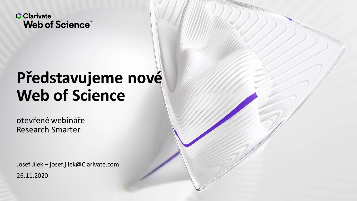

# **Představujeme nové Web of Science**

otevřené webináře Research Smarter

Josef Jílek – josef.jilek@Clarivate.com 26.11.2020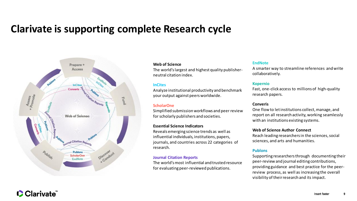### **Clarivate is supporting complete Research cycle**



#### **Web of Science**

The world's largest and highest quality publisherneutral citation index.

#### **InCites**

Analyze institutional productivity and benchmark your output against peers worldwide.

### **ScholarOne**

Simplified submission workflows and peer review for scholarly publishers and societies.

#### **Essential Science Indicators**

Reveals emerging science trends as well as influential individuals, institutions, papers, journals, and countries across 22 categories of research.

#### **Journal Citation Reports**

The world's most influential and trusted resource for evaluating peer-reviewed publications.

#### **EndNote**

A smarter way to streamline references and write collaboratively.

#### **Kopernio**

Fast, one-click access to millions of high-quality research papers.

#### **Converis**

One flow to let institutions collect, manage, and report on all research activity, working seamlessly with an institutions existing systems.

### **Web of Science Author Connect**

Reach leading researchers in the sciences, social sciences, and arts and humanities.

### **Publons**

Supporting researchers through documenting their peer-review and journal editing contributions, providing guidance and best practice for the peerreview process, as well as increasing the overall visibility of their research and its impact.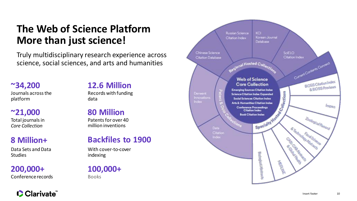## **The Web of Science Platform More than just science!**

Truly multidisciplinary research experience across science, social sciences, and arts and humanities

**~34,200** Journals across the platform

### **~21,000** Total journals in *Core Collection*

### **8 Million+**

Data Sets and Data **Studies** 

**200,000+** Conference records

Clarivate

## **12.6 Million**

Records with funding data

**80 Million** Patents for over 40 million inventions

### **Backfiles to 1900**

With cover-to-cover indexing

**100,000+** Books

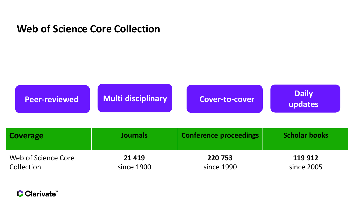### **Web of Science Core Collection**



| Coverage            | <b>Journals</b> | <b>Conference proceedings</b> | <b>Scholar books</b> |
|---------------------|-----------------|-------------------------------|----------------------|
| Web of Science Core | 21 4 19         | 220 753                       | 119 912              |
| Collection          | since 1900      | since 1990                    | since 2005           |

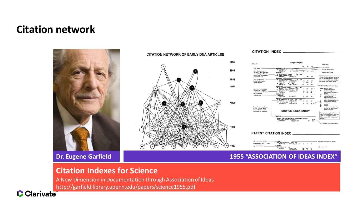### **Citation network**



#### **CITATION NETWORK OF EARLY DNA ARTICLES**



**CITATION INDEX** 



### **Dr. Eugene Garfield 1955 "ASSOCIATION OF IDEAS INDEX"**

### **Citation Indexes for Science**

A New Dimension in Documentation through Association of Ideas <http://garfield.library.upenn.edu/papers/science1955.pdf>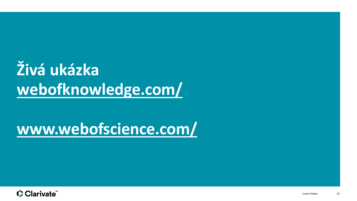# Živá ukázka webofknowledge.com/

# www.webofscience.com/

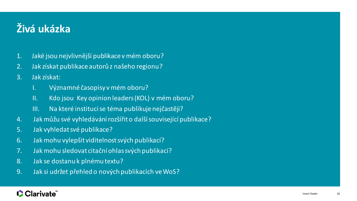# **Živá ukázka**

- 1. Jaké jsou nejvlivnější publikace v mém oboru?
- 2. Jak získat publikace autorů z našeho regionu?
- 3. Jak získat:
	- I. Významné časopisy v mém oboru?
	- II. Kdo jsou Key opinion leaders (KOL) v mém oboru?
	- III. Na které instituci se téma publikuje nejčastěji?
- 4. Jak můžu své vyhledávání rozšířit o další související publikace?
- 5. Jak vyhledat své publikace?
- 6. Jak mohu vylepšit viditelnost svých publikací?
- 7. Jak mohu sledovat citační ohlas svých publikací?
- 8. Jak se dostanu k plnému textu?
- 9. Jak si udržet přehled o nových publikacích ve WoS?

### **Clarivate**"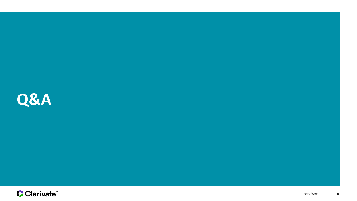

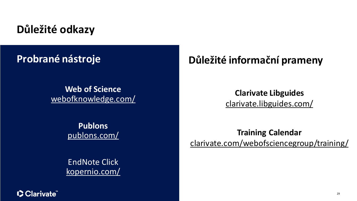## **Důležité odkazy**

# **Probrané nástroje**

**Web of Science** [webofknowledge.com/](http://webofknowledge.com/)

> **Publons** [publons.com/](https://publons.com/about/home/)

EndNote Click [kopernio.com/](https://kopernio.com/)

## **Důležité informační prameny**

**Clarivate Libguides** [clarivate.libguides.com/](https://clarivate.libguides.com/)

**Training Calendar** [clarivate.com/webofsciencegroup/training/](https://clarivate.com/webofsciencegroup/training/)

CClarivate